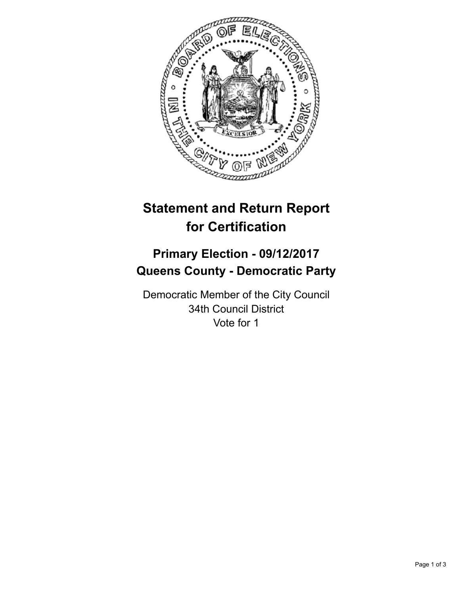

# **Statement and Return Report for Certification**

## **Primary Election - 09/12/2017 Queens County - Democratic Party**

Democratic Member of the City Council 34th Council District Vote for 1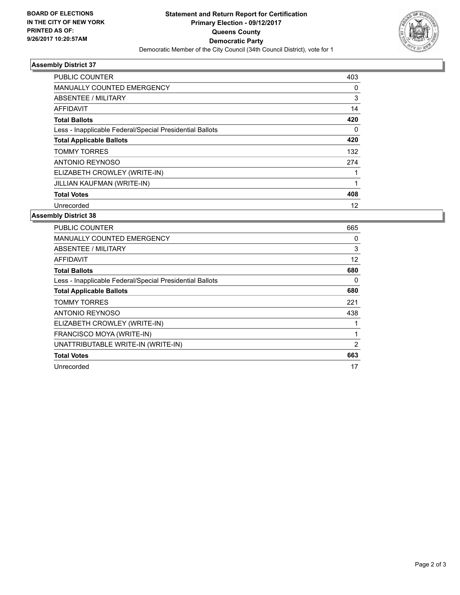

#### **Assembly District 37**

| <b>PUBLIC COUNTER</b>                                    | 403 |
|----------------------------------------------------------|-----|
| <b>MANUALLY COUNTED EMERGENCY</b>                        | 0   |
| ABSENTEE / MILITARY                                      | 3   |
| AFFIDAVIT                                                | 14  |
| <b>Total Ballots</b>                                     | 420 |
| Less - Inapplicable Federal/Special Presidential Ballots | 0   |
| <b>Total Applicable Ballots</b>                          | 420 |
| <b>TOMMY TORRES</b>                                      | 132 |
| <b>ANTONIO REYNOSO</b>                                   | 274 |
| ELIZABETH CROWLEY (WRITE-IN)                             |     |
| JILLIAN KAUFMAN (WRITE-IN)                               |     |
| <b>Total Votes</b>                                       | 408 |
| Unrecorded                                               | 12  |

#### **Assembly District 38**

| <b>PUBLIC COUNTER</b>                                    | 665 |
|----------------------------------------------------------|-----|
| <b>MANUALLY COUNTED EMERGENCY</b>                        | 0   |
| <b>ABSENTEE / MILITARY</b>                               | 3   |
| <b>AFFIDAVIT</b>                                         | 12  |
| <b>Total Ballots</b>                                     | 680 |
| Less - Inapplicable Federal/Special Presidential Ballots | 0   |
| <b>Total Applicable Ballots</b>                          | 680 |
| <b>TOMMY TORRES</b>                                      | 221 |
| <b>ANTONIO REYNOSO</b>                                   | 438 |
| ELIZABETH CROWLEY (WRITE-IN)                             | 1   |
| FRANCISCO MOYA (WRITE-IN)                                | 1   |
| UNATTRIBUTABLE WRITE-IN (WRITE-IN)                       | 2   |
| <b>Total Votes</b>                                       | 663 |
| Unrecorded                                               | 17  |